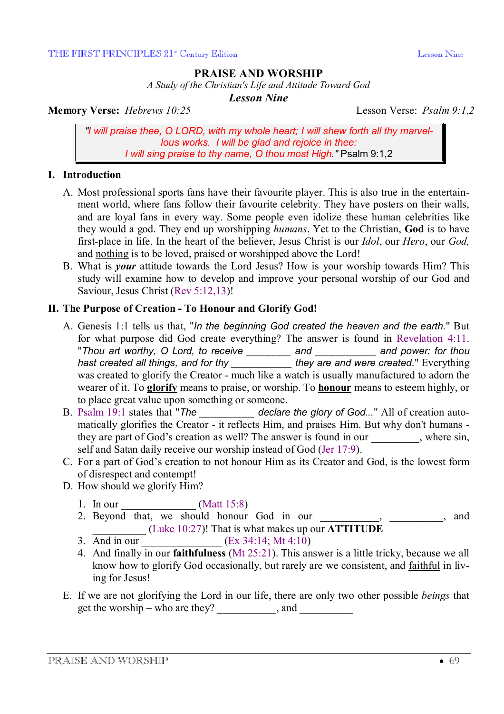## **PRAISE AND WORSHIP**

*A Study of the Christian's Life and Attitude Toward God* 

*Lesson Nine* 

**Memory Verse:** *Hebrews 10:25* Lesson Verse: *Psalm 9:1,2*

*"I will praise thee, O LORD, with my whole heart; I will shew forth all thy marvellous works. I will be glad and rejoice in thee: I will sing praise to thy name, O thou most High."* Psalm 9:1,2

#### **I. Introduction**

- A. Most professional sports fans have their favourite player. This is also true in the entertainment world, where fans follow their favourite celebrity. They have posters on their walls, and are loyal fans in every way. Some people even idolize these human celebrities like they would a god. They end up worshipping *humans*. Yet to the Christian, **God** is to have first-place in life. In the heart of the believer, Jesus Christ is our *Idol*, our *Hero*, our *God,* and nothing is to be loved, praised or worshipped above the Lord!
- B. What is *your* attitude towards the Lord Jesus? How is your worship towards Him? This study will examine how to develop and improve your personal worship of our God and Saviour, Jesus Christ (Rev 5:12,13)!

### **II. The Purpose of Creation - To Honour and Glorify God!**

- A. Genesis 1:1 tells us that, "*In the beginning God created the heaven and the earth.*" But for what purpose did God create everything? The answer is found in Revelation 4:11. "*Thou art worthy, O Lord, to receive \_\_\_\_\_\_\_\_ and \_\_\_\_\_\_\_\_\_\_\_ and power: for thou hast created all things, and for thy \_\_\_\_\_\_\_\_\_\_\_ they are and were created.*" Everything was created to glorify the Creator - much like a watch is usually manufactured to adorn the wearer of it. To **glorify** means to praise, or worship. To **honour** means to esteem highly, or to place great value upon something or someone.
- B. Psalm 19:1 states that "*The \_\_\_\_\_\_\_\_\_\_ declare the glory of God...*" All of creation automatically glorifies the Creator - it reflects Him, and praises Him. But why don't humans they are part of God's creation as well? The answer is found in our \_\_\_\_\_\_\_\_\_, where sin, self and Satan daily receive our worship instead of God (Jer 17:9).
- C. For a part of God's creation to not honour Him as its Creator and God, is the lowest form of disrespect and contempt!
- D. How should we glorify Him?
	- 1. In our \_\_\_\_\_\_\_\_\_\_\_\_\_\_ (Matt 15:8)
	- 2. Beyond that, we should honour God in our contract that the should honour God in our contract of the should honour God in our contract of the should honour God in our contract of the should honour God in our contract of  $\frac{1}{2}$  (Luke 10:27)! That is what makes up our **ATTITUDE**
	- 3. And in our  $(Ex\ 34:14; Mt\ 4:10)$
	- 4. And finally in our **faithfulness** (Mt 25:21). This answer is a little tricky, because we all know how to glorify God occasionally, but rarely are we consistent, and faithful in living for Jesus!
- E. If we are not glorifying the Lord in our life, there are only two other possible *beings* that get the worship – who are they?  $\Box$  and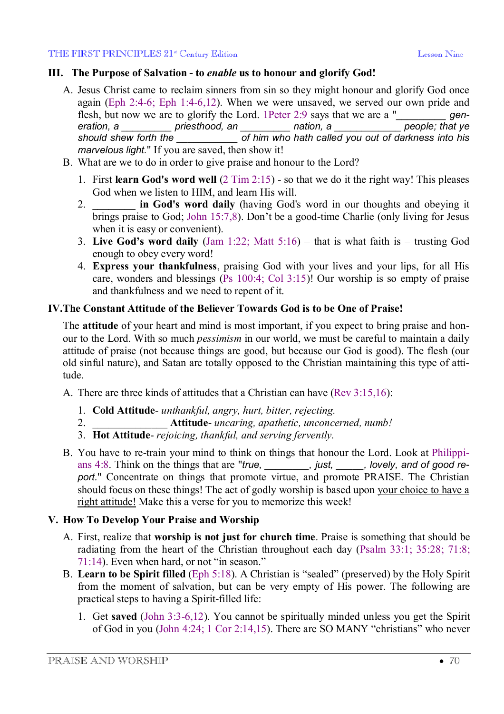## **III. The Purpose of Salvation - to** *enable* **us to honour and glorify God!**

- A. Jesus Christ came to reclaim sinners from sin so they might honour and glorify God once again (Eph 2:4-6; Eph 1:4-6,12). When we were unsaved, we served our own pride and flesh, but now we are to glorify the Lord. 1Peter 2:9 says that we are a "*\_\_\_\_\_\_\_\_\_\_\_ generation. a people: that ve eration, a \_\_\_\_\_\_\_\_\_ priesthood, an \_\_\_\_\_\_\_\_\_ nation, a \_\_\_\_\_\_\_\_\_\_\_\_ people; that ye*   $\overline{f}$  *of him who hath called you out of darkness into his marvelous light.*" If you are saved, then show it!
- B. What are we to do in order to give praise and honour to the Lord?
	- 1. First **learn God's word well** (2 Tim 2:15) so that we do it the right way! This pleases God when we listen to HIM, and learn His will.
	- 2. **\_\_\_\_\_\_\_\_ in God's word daily** (having God's word in our thoughts and obeying it brings praise to God; John 15:7,8). Don't be a good-time Charlie (only living for Jesus when it is easy or convenient).
	- 3. **Live God's word daily** (Jam 1:22; Matt 5:16) that is what faith is trusting God enough to obey every word!
	- 4. **Express your thankfulness**, praising God with your lives and your lips, for all His care, wonders and blessings (Ps 100:4; Col 3:15)! Our worship is so empty of praise and thankfulness and we need to repent of it.

# **IV.The Constant Attitude of the Believer Towards God is to be One of Praise!**

The **attitude** of your heart and mind is most important, if you expect to bring praise and honour to the Lord. With so much *pessimism* in our world, we must be careful to maintain a daily attitude of praise (not because things are good, but because our God is good). The flesh (our old sinful nature), and Satan are totally opposed to the Christian maintaining this type of attitude.

A. There are three kinds of attitudes that a Christian can have (Rev 3:15,16):

- 1. **Cold Attitude** *unthankful, angry, hurt, bitter, rejecting.*
- 2. \_\_\_\_\_\_\_\_\_\_\_\_\_\_ **Attitude** *uncaring, apathetic, unconcerned, numb!*
- 3. **Hot Attitude** *rejoicing, thankful, and serving fervently.*
- B. You have to re-train your mind to think on things that honour the Lord. Look at Philippians 4:8. Think on the things that are "*true*, *\_\_\_\_\_\_\_, just, \_\_\_\_, lovely, and of good report*." Concentrate on things that promote virtue, and promote PRAISE. The Christian should focus on these things! The act of godly worship is based upon your choice to have a right attitude! Make this a verse for you to memorize this week!

# **V. How To Develop Your Praise and Worship**

- A. First, realize that **worship is not just for church time**. Praise is something that should be radiating from the heart of the Christian throughout each day (Psalm 33:1; 35:28; 71:8; 71:14). Even when hard, or not "in season."
- B. **Learn to be Spirit filled** (Eph 5:18). A Christian is "sealed" (preserved) by the Holy Spirit from the moment of salvation, but can be very empty of His power. The following are practical steps to having a Spirit-filled life:
	- 1. Get **saved** (John 3:3-6,12). You cannot be spiritually minded unless you get the Spirit of God in you (John 4:24; 1 Cor 2:14,15). There are SO MANY "christians" who never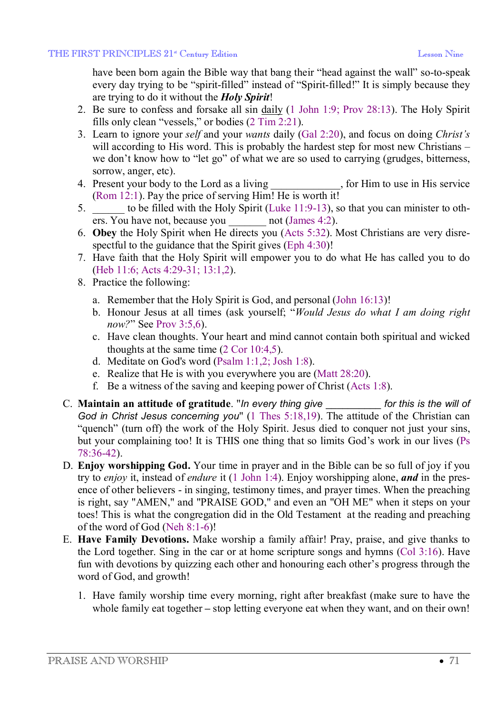have been born again the Bible way that bang their "head against the wall" so-to-speak every day trying to be "spirit-filled" instead of "Spirit-filled!" It is simply because they are trying to do it without the *Holy Spirit*!

- 2. Be sure to confess and forsake all sin daily (1 John 1:9; Prov 28:13). The Holy Spirit fills only clean "vessels," or bodies (2 Tim 2:21).
- 3. Learn to ignore your *self* and your *wants* daily (Gal 2:20), and focus on doing *Christ's* will according to His word. This is probably the hardest step for most new Christians – we don't know how to "let go" of what we are so used to carrying (grudges, bitterness, sorrow, anger, etc).
- 4. Present your body to the Lord as a living for Him to use in His service (Rom 12:1). Pay the price of serving Him! He is worth it!
- 5. \_\_\_\_\_\_ to be filled with the Holy Spirit (Luke 11:9-13), so that you can minister to others. You have not, because you \_\_\_\_\_\_\_ not (James 4:2).
- 6. **Obey** the Holy Spirit when He directs you (Acts 5:32). Most Christians are very disrespectful to the guidance that the Spirit gives (Eph 4:30)!
- 7. Have faith that the Holy Spirit will empower you to do what He has called you to do (Heb 11:6; Acts 4:29-31; 13:1,2).
- 8. Practice the following:
	- a. Remember that the Holy Spirit is God, and personal (John 16:13)!
	- b. Honour Jesus at all times (ask yourself; "*Would Jesus do what I am doing right now?*" See Prov 3:5,6).
	- c. Have clean thoughts. Your heart and mind cannot contain both spiritual and wicked thoughts at the same time (2 Cor 10:4,5).
	- d. Meditate on God's word (Psalm 1:1,2; Josh 1:8).
	- e. Realize that He is with you everywhere you are (Matt 28:20).
	- f. Be a witness of the saving and keeping power of Christ (Acts 1:8).
- C. **Maintain an attitude of gratitude**. "*In every thing give* \_\_\_\_\_\_\_\_\_\_ *for this is the will of God in Christ Jesus concerning you*" (1 Thes 5:18,19). The attitude of the Christian can "quench" (turn off) the work of the Holy Spirit. Jesus died to conquer not just your sins, but your complaining too! It is THIS one thing that so limits God's work in our lives (Ps 78:36-42).
- D. **Enjoy worshipping God.** Your time in prayer and in the Bible can be so full of joy if you try to *enjoy* it, instead of *endure* it (1 John 1:4). Enjoy worshipping alone, *and* in the presence of other believers - in singing, testimony times, and prayer times. When the preaching is right, say "AMEN," and "PRAISE GOD," and even an "OH ME" when it steps on your toes! This is what the congregation did in the Old Testament at the reading and preaching of the word of God (Neh 8:1-6)!
- E. **Have Family Devotions.** Make worship a family affair! Pray, praise, and give thanks to the Lord together. Sing in the car or at home scripture songs and hymns (Col 3:16). Have fun with devotions by quizzing each other and honouring each other's progress through the word of God, and growth!
	- 1. Have family worship time every morning, right after breakfast (make sure to have the whole family eat together – stop letting everyone eat when they want, and on their own!